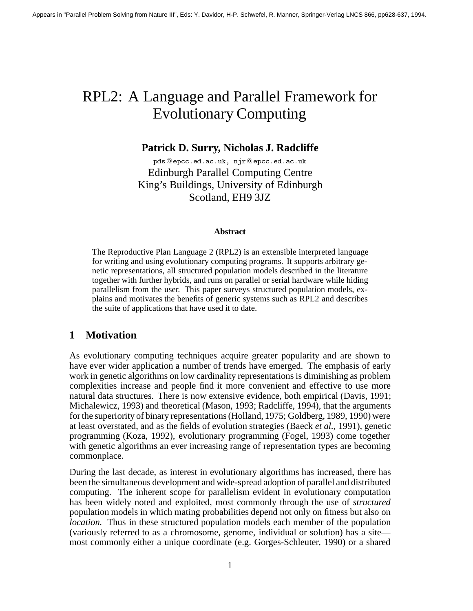# RPL2: A Language and Parallel Framework for Evolutionary Computing

# **Patrick D. Surry, Nicholas J. Radcliffe**

pase verval and more verval and more and more and more and more and more and more and more and more and more and more and more and more and more and more and more and more and more and more and more and more and more and m Edinburgh Parallel Computing Centre King's Buildings, University of Edinburgh Scotland, EH9 3JZ

### **Abstract**

The Reproductive Plan Language 2 (RPL2) is an extensible interpreted language for writing and using evolutionary computing programs. It supports arbitrary genetic representations, all structured population models described in the literature together with further hybrids, and runs on parallel or serial hardware while hiding parallelism from the user. This paper surveys structured population models, explains and motivates the benefits of generic systems such as RPL2 and describes the suite of applications that have used it to date.

# **1 Motivation**

As evolutionary computing techniques acquire greater popularity and are shown to have ever wider application a number of trends have emerged. The emphasis of early work in genetic algorithms on low cardinality representations is diminishing as problem complexities increase and people find it more convenient and effective to use more natural data structures. There is now extensive evidence, both empirical (Davis, 1991; Michalewicz, 1993) and theoretical (Mason, 1993; Radcliffe, 1994), that the arguments for the superiority of binary representations (Holland, 1975; Goldberg, 1989, 1990) were at least overstated, and as the fields of evolution strategies (Baeck *et al.,* 1991), genetic programming (Koza, 1992), evolutionary programming (Fogel, 1993) come together with genetic algorithms an ever increasing range of representation types are becoming commonplace.

During the last decade, as interest in evolutionary algorithms has increased, there has been the simultaneous development and wide-spread adoption of parallel and distributed computing. The inherent scope for parallelism evident in evolutionary computation has been widely noted and exploited, most commonly through the use of *structured* population models in which mating probabilities depend not only on fitness but also on *location.* Thus in these structured population models each member of the population (variously referred to as a chromosome, genome, individual or solution) has a site most commonly either a unique coordinate (e.g. Gorges-Schleuter, 1990) or a shared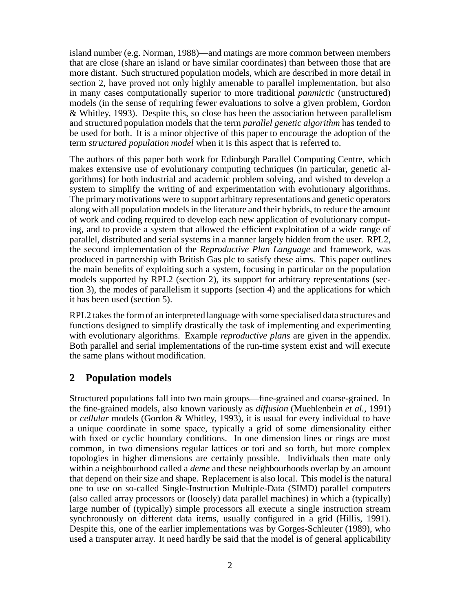island number (e.g. Norman, 1988)—and matings are more common between members that are close (share an island or have similar coordinates) than between those that are more distant. Such structured population models, which are described in more detail in section 2, have proved not only highly amenable to parallel implementation, but also in many cases computationally superior to more traditional *panmictic* (unstructured) models (in the sense of requiring fewer evaluations to solve a given problem, Gordon & Whitley, 1993). Despite this, so close has been the association between parallelism and structured population models that the term *parallel genetic algorithm* has tended to be used for both. It is a minor objective of this paper to encourage the adoption of the term *structured population model* when it is this aspect that is referred to.

The authors of this paper both work for Edinburgh Parallel Computing Centre, which makes extensive use of evolutionary computing techniques (in particular, genetic algorithms) for both industrial and academic problem solving, and wished to develop a system to simplify the writing of and experimentation with evolutionary algorithms. The primary motivations were to support arbitrary representations and genetic operators along with all population models in the literature and their hybrids, to reduce the amount of work and coding required to develop each new application of evolutionary computing, and to provide a system that allowed the efficient exploitation of a wide range of parallel, distributed and serial systems in a manner largely hidden from the user. RPL2, the second implementation of the *Reproductive Plan Language* and framework, was produced in partnership with British Gas plc to satisfy these aims. This paper outlines the main benefits of exploiting such a system, focusing in particular on the population models supported by RPL2 (section 2), its support for arbitrary representations (section 3), the modes of parallelism it supports (section 4) and the applications for which it has been used (section 5).

RPL2 takes the form of an interpreted language with some specialised data structures and functions designed to simplify drastically the task of implementing and experimenting with evolutionary algorithms. Example *reproductive plans* are given in the appendix. Both parallel and serial implementations of the run-time system exist and will execute the same plans without modification.

# **2 Population models**

Structured populations fall into two main groups—fine-grained and coarse-grained. In the fine-grained models, also known variously as *diffusion* (Muehlenbein *et al.,* 1991) or *cellular* models (Gordon & Whitley, 1993), it is usual for every individual to have a unique coordinate in some space, typically a grid of some dimensionality either with fixed or cyclic boundary conditions. In one dimension lines or rings are most common, in two dimensions regular lattices or tori and so forth, but more complex topologies in higher dimensions are certainly possible. Individuals then mate only within a neighbourhood called a *deme* and these neighbourhoods overlap by an amount that depend on their size and shape. Replacement is also local. This model is the natural one to use on so-called Single-Instruction Multiple-Data (SIMD) parallel computers (also called array processors or (loosely) data parallel machines) in which a (typically) large number of (typically) simple processors all execute a single instruction stream synchronously on different data items, usually configured in a grid (Hillis, 1991). Despite this, one of the earlier implementations was by Gorges-Schleuter (1989), who used a transputer array. It need hardly be said that the model is of general applicability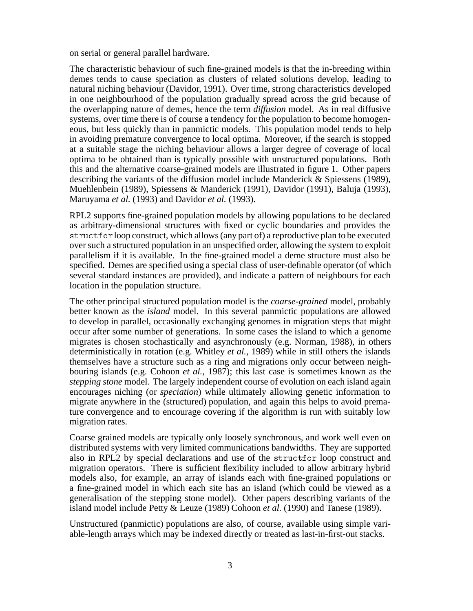on serial or general parallel hardware.

The characteristic behaviour of such fine-grained models is that the in-breeding within demes tends to cause speciation as clusters of related solutions develop, leading to natural niching behaviour (Davidor, 1991). Over time, strong characteristics developed in one neighbourhood of the population gradually spread across the grid because of the overlapping nature of demes, hence the term *diffusion* model. As in real diffusive systems, over time there is of course a tendency for the population to become homogeneous, but less quickly than in panmictic models. This population model tends to help in avoiding premature convergence to local optima. Moreover, if the search is stopped at a suitable stage the niching behaviour allows a larger degree of coverage of local optima to be obtained than is typically possible with unstructured populations. Both this and the alternative coarse-grained models are illustrated in figure 1. Other papers describing the variants of the diffusion model include Manderick & Spiessens (1989), Muehlenbein (1989), Spiessens & Manderick (1991), Davidor (1991), Baluja (1993), Maruyama *et al.* (1993) and Davidor *et al.* (1993).

RPL2 supports fine-grained population models by allowing populations to be declared as arbitrary-dimensional structures with fixed or cyclic boundaries and provides the structfor loop construct, which allows (any part of) a reproductive plan to be executed over such a structured population in an unspecified order, allowing the system to exploit parallelism if it is available. In the fine-grained model a deme structure must also be specified. Demes are specified using a special class of user-definable operator (of which several standard instances are provided), and indicate a pattern of neighbours for each location in the population structure.

The other principal structured population model is the *coarse-grained* model, probably better known as the *island* model. In this several panmictic populations are allowed to develop in parallel, occasionally exchanging genomes in migration steps that might occur after some number of generations. In some cases the island to which a genome migrates is chosen stochastically and asynchronously (e.g. Norman, 1988), in others deterministically in rotation (e.g. Whitley *et al.,* 1989) while in still others the islands themselves have a structure such as a ring and migrations only occur between neighbouring islands (e.g. Cohoon *et al.,* 1987); this last case is sometimes known as the *stepping stone* model. The largely independent course of evolution on each island again encourages niching (or *speciation*) while ultimately allowing genetic information to migrate anywhere in the (structured) population, and again this helps to avoid premature convergence and to encourage covering if the algorithm is run with suitably low migration rates.

Coarse grained models are typically only loosely synchronous, and work well even on distributed systems with very limited communications bandwidths. They are supported also in RPL2 by special declarations and use of the structfor loop construct and migration operators. There is sufficient flexibility included to allow arbitrary hybrid models also, for example, an array of islands each with fine-grained populations or a fine-grained model in which each site has an island (which could be viewed as a generalisation of the stepping stone model). Other papers describing variants of the island model include Petty & Leuze (1989) Cohoon *et al.* (1990) and Tanese (1989).

Unstructured (panmictic) populations are also, of course, available using simple variable-length arrays which may be indexed directly or treated as last-in-first-out stacks.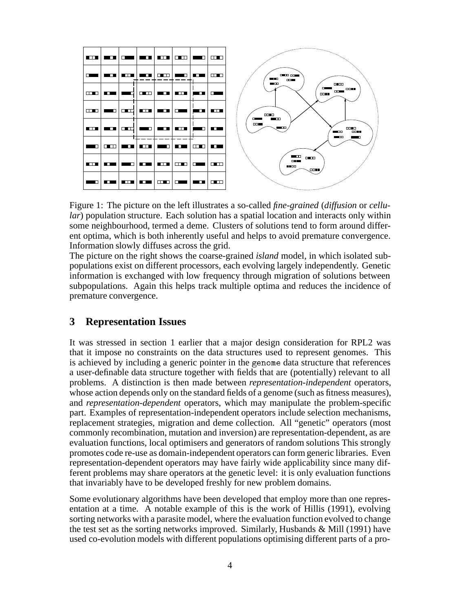

Figure 1: The picture on the left illustrates a so-called *fine-grained* (*diffusion* or *cellular*) population structure. Each solution has a spatial location and interacts only within some neighbourhood, termed a deme. Clusters of solutions tend to form around different optima, which is both inherently useful and helps to avoid premature convergence. Information slowly diffuses across the grid.

The picture on the right shows the coarse-grained *island* model, in which isolated subpopulations exist on different processors, each evolving largely independently. Genetic information is exchanged with low frequency through migration of solutions between subpopulations. Again this helps track multiple optima and reduces the incidence of premature convergence.

# **3 Representation Issues**

It was stressed in section 1 earlier that a major design consideration for RPL2 was that it impose no constraints on the data structures used to represent genomes. This is achieved by including a generic pointer in the genome data structure that references a user-definable data structure together with fields that are (potentially) relevant to all problems. A distinction is then made between *representation-independent* operators, whose action depends only on the standard fields of a genome (such as fitness measures), and *representation-dependent* operators, which may manipulate the problem-specific part. Examples of representation-independent operators include selection mechanisms, replacement strategies, migration and deme collection. All "genetic" operators (most commonly recombination, mutation and inversion) are representation-dependent, as are evaluation functions, local optimisers and generators of random solutions This strongly promotes code re-use as domain-independent operators can form generic libraries. Even representation-dependent operators may have fairly wide applicability since many different problems may share operators at the genetic level: it is only evaluation functions that invariably have to be developed freshly for new problem domains.

Some evolutionary algorithms have been developed that employ more than one representation at a time. A notable example of this is the work of Hillis (1991), evolving sorting networks with a parasite model, where the evaluation function evolved to change the test set as the sorting networks improved. Similarly, Husbands  $\&$  Mill (1991) have used co-evolution models with different populations optimising different parts of a pro-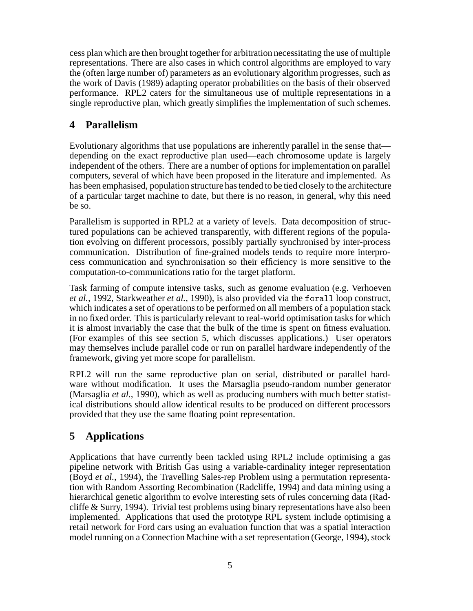cess plan which are then brought together for arbitration necessitating the use of multiple representations. There are also cases in which control algorithms are employed to vary the (often large number of) parameters as an evolutionary algorithm progresses, such as the work of Davis (1989) adapting operator probabilities on the basis of their observed performance. RPL2 caters for the simultaneous use of multiple representations in a single reproductive plan, which greatly simplifies the implementation of such schemes.

# **4 Parallelism**

Evolutionary algorithms that use populations are inherently parallel in the sense that depending on the exact reproductive plan used—each chromosome update is largely independent of the others. There are a number of options for implementation on parallel computers, several of which have been proposed in the literature and implemented. As has been emphasised, population structure has tended to be tied closely to the architecture of a particular target machine to date, but there is no reason, in general, why this need be so.

Parallelism is supported in RPL2 at a variety of levels. Data decomposition of structured populations can be achieved transparently, with different regions of the population evolving on different processors, possibly partially synchronised by inter-process communication. Distribution of fine-grained models tends to require more interprocess communication and synchronisation so their efficiency is more sensitive to the computation-to-communications ratio for the target platform.

Task farming of compute intensive tasks, such as genome evaluation (e.g. Verhoeven *et al.,* 1992, Starkweather *et al.,* 1990), is also provided via the forall loop construct, which indicates a set of operations to be performed on all members of a population stack in no fixed order. This is particularly relevant to real-world optimisation tasks for which it is almost invariably the case that the bulk of the time is spent on fitness evaluation. (For examples of this see section 5, which discusses applications.) User operators may themselves include parallel code or run on parallel hardware independently of the framework, giving yet more scope for parallelism.

RPL2 will run the same reproductive plan on serial, distributed or parallel hardware without modification. It uses the Marsaglia pseudo-random number generator (Marsaglia *et al.,* 1990), which as well as producing numbers with much better statistical distributions should allow identical results to be produced on different processors provided that they use the same floating point representation.

# **5 Applications**

Applications that have currently been tackled using RPL2 include optimising a gas pipeline network with British Gas using a variable-cardinality integer representation (Boyd *et al.,* 1994), the Travelling Sales-rep Problem using a permutation representation with Random Assorting Recombination (Radcliffe, 1994) and data mining using a hierarchical genetic algorithm to evolve interesting sets of rules concerning data (Radcliffe  $\&$  Surry, 1994). Trivial test problems using binary representations have also been implemented. Applications that used the prototype RPL system include optimising a retail network for Ford cars using an evaluation function that was a spatial interaction model running on a Connection Machine with a set representation (George, 1994), stock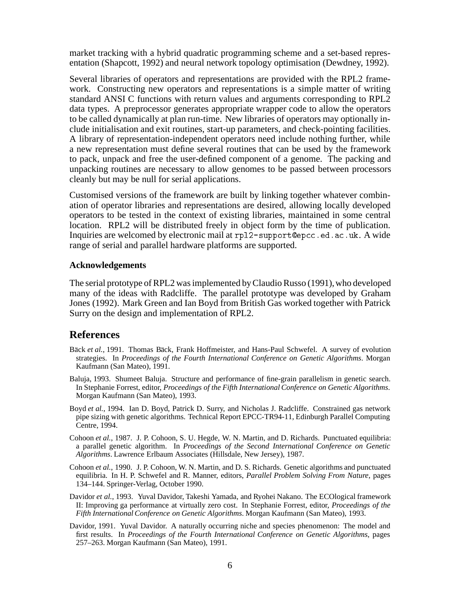market tracking with a hybrid quadratic programming scheme and a set-based representation (Shapcott, 1992) and neural network topology optimisation (Dewdney, 1992).

Several libraries of operators and representations are provided with the RPL2 framework. Constructing new operators and representations is a simple matter of writing standard ANSI C functions with return values and arguments corresponding to RPL2 data types. A preprocessor generates appropriate wrapper code to allow the operators to be called dynamically at plan run-time. New libraries of operators may optionally include initialisation and exit routines, start-up parameters, and check-pointing facilities. A library of representation-independent operators need include nothing further, while a new representation must define several routines that can be used by the framework to pack, unpack and free the user-defined component of a genome. The packing and unpacking routines are necessary to allow genomes to be passed between processors cleanly but may be null for serial applications.

Customised versions of the framework are built by linking together whatever combination of operator libraries and representations are desired, allowing locally developed operators to be tested in the context of existing libraries, maintained in some central location. RPL2 will be distributed freely in object form by the time of publication. Inquiries are welcomed by electronic mail at rp12-support@epcc.ed.ac.uk. A wide range of serial and parallel hardware platforms are supported.

### **Acknowledgements**

The serial prototype of RPL2 was implemented by Claudio Russo (1991), who developed many of the ideas with Radcliffe. The parallel prototype was developed by Graham Jones (1992). Mark Green and Ian Boyd from British Gas worked together with Patrick Surry on the design and implementation of RPL2.

### **References**

- Bäck et al., 1991. Thomas Bäck, Frank Hoffmeister, and Hans-Paul Schwefel. A survey of evolution strategies. In *Proceedings of the Fourth International Conference on Genetic Algorithms*. Morgan Kaufmann (San Mateo), 1991.
- Baluja, 1993. Shumeet Baluja. Structure and performance of fine-grain parallelism in genetic search. In Stephanie Forrest, editor, *Proceedings of the Fifth International Conference on Genetic Algorithms*. Morgan Kaufmann (San Mateo), 1993.
- Boyd *et al.*, 1994. Ian D. Boyd, Patrick D. Surry, and Nicholas J. Radcliffe. Constrained gas network pipe sizing with genetic algorithms. Technical Report EPCC-TR94-11, Edinburgh Parallel Computing Centre, 1994.
- Cohoon *et al.*, 1987. J. P. Cohoon, S. U. Hegde, W. N. Martin, and D. Richards. Punctuated equilibria: a parallel genetic algorithm. In *Proceedings of the Second International Conference on Genetic Algorithms*. Lawrence Erlbaum Associates (Hillsdale, New Jersey), 1987.
- Cohoon *et al.*, 1990. J. P. Cohoon, W. N. Martin, and D. S. Richards. Genetic algorithms and punctuated equilibria. In H. P. Schwefel and R. Manner, editors, *Parallel Problem Solving From Nature*, pages 134–144. Springer-Verlag, October 1990.
- Davidor *et al.*, 1993. Yuval Davidor, Takeshi Yamada, and Ryohei Nakano. The ECOlogical framework II: Improving ga performance at virtually zero cost. In Stephanie Forrest, editor, *Proceedings of the Fifth International Conference on Genetic Algorithms*. Morgan Kaufmann (San Mateo), 1993.
- Davidor, 1991. Yuval Davidor. A naturally occurring niche and species phenomenon: The model and first results. In *Proceedings of the Fourth International Conference on Genetic Algorithms*, pages 257–263. Morgan Kaufmann (San Mateo), 1991.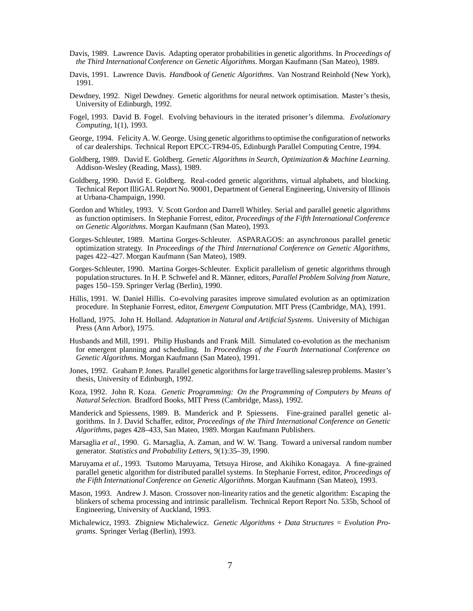- Davis, 1989. Lawrence Davis. Adapting operator probabilities in genetic algorithms. In *Proceedings of the Third International Conference on Genetic Algorithms*. Morgan Kaufmann (San Mateo), 1989.
- Davis, 1991. Lawrence Davis. *Handbook of Genetic Algorithms*. Van Nostrand Reinhold (New York), 1991.
- Dewdney, 1992. Nigel Dewdney. Genetic algorithms for neural network optimisation. Master's thesis, University of Edinburgh, 1992.
- Fogel, 1993. David B. Fogel. Evolving behaviours in the iterated prisoner's dilemma. *Evolutionary Computing*, 1(1), 1993.
- George, 1994. Felicity A. W. George. Using genetic algorithms to optimise the configuration of networks of car dealerships. Technical Report EPCC-TR94-05, Edinburgh Parallel Computing Centre, 1994.
- Goldberg, 1989. David E. Goldberg. *Genetic Algorithms in Search, Optimization & Machine Learning*. Addison-Wesley (Reading, Mass), 1989.
- Goldberg, 1990. David E. Goldberg. Real-coded genetic algorithms, virtual alphabets, and blocking. Technical Report IlliGAL Report No. 90001, Department of General Engineering, University of Illinois at Urbana-Champaign, 1990.
- Gordon and Whitley, 1993. V. Scott Gordon and Darrell Whitley. Serial and parallel genetic algorithms as function optimisers. In Stephanie Forrest, editor, *Proceedings of the Fifth International Conference on Genetic Algorithms*. Morgan Kaufmann (San Mateo), 1993.
- Gorges-Schleuter, 1989. Martina Gorges-Schleuter. ASPARAGOS: an asynchronous parallel genetic optimization strategy. In *Proceedings of the Third International Conference on Genetic Algorithms*, pages 422–427. Morgan Kaufmann (San Mateo), 1989.
- Gorges-Schleuter, 1990. Martina Gorges-Schleuter. Explicit parallelism of genetic algorithms through population structures. In H. P. Schwefel and R. Männer, editors, *Parallel Problem Solving from Nature*, pages 150–159. Springer Verlag (Berlin), 1990.
- Hillis, 1991. W. Daniel Hillis. Co-evolving parasites improve simulated evolution as an optimization procedure. In Stephanie Forrest, editor, *Emergent Computation*. MIT Press (Cambridge, MA), 1991.
- Holland, 1975. John H. Holland. *Adaptation in Natural and Artificial Systems*. University of Michigan Press (Ann Arbor), 1975.
- Husbands and Mill, 1991. Philip Husbands and Frank Mill. Simulated co-evolution as the mechanism for emergent planning and scheduling. In *Proceedings of the Fourth International Conference on Genetic Algorithms*. Morgan Kaufmann (San Mateo), 1991.
- Jones, 1992. Graham P. Jones. Parallel genetic algorithms for large travelling salesrep problems. Master's thesis, University of Edinburgh, 1992.
- Koza, 1992. John R. Koza. *Genetic Programming: On the Programming of Computers by Means of Natural Selection*. Bradford Books, MIT Press (Cambridge, Mass), 1992.
- Manderick and Spiessens, 1989. B. Manderick and P. Spiessens. Fine-grained parallel genetic algorithms. In J. David Schaffer, editor, *Proceedings of the Third International Conference on Genetic Algorithms*, pages 428–433, San Mateo, 1989. Morgan Kaufmann Publishers.
- Marsaglia *et al.*, 1990. G. Marsaglia, A. Zaman, and W. W. Tsang. Toward a universal random number generator. *Statistics and Probability Letters*, 9(1):35–39, 1990.
- Maruyama *et al.*, 1993. Tsutomo Maruyama, Tetsuya Hirose, and Akihiko Konagaya. A fine-grained parallel genetic algorithm for distributed parallel systems. In Stephanie Forrest, editor, *Proceedings of the Fifth International Conference on Genetic Algorithms*. Morgan Kaufmann (San Mateo), 1993.
- Mason, 1993. Andrew J. Mason. Crossover non-linearity ratios and the genetic algorithm: Escaping the blinkers of schema processing and intrinsic parallelism. Technical Report Report No. 535b, School of Engineering, University of Auckland, 1993.
- Michalewicz, 1993. Zbigniew Michalewicz. *Genetic Algorithms + Data Structures = Evolution Programs*. Springer Verlag (Berlin), 1993.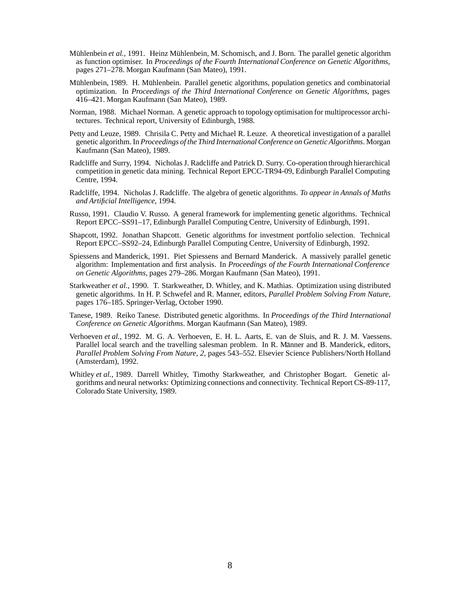- Mühlenbein et al., 1991. Heinz Mühlenbein, M. Schomisch, and J. Born. The parallel genetic algorithm as function optimiser. In *Proceedings of the Fourth International Conference on Genetic Algorithms*, pages 271–278. Morgan Kaufmann (San Mateo), 1991.
- Mühlenbein, 1989. H. Mühlenbein. Parallel genetic algorithms, population genetics and combinatorial optimization. In *Proceedings of the Third International Conference on Genetic Algorithms*, pages 416–421. Morgan Kaufmann (San Mateo), 1989.
- Norman, 1988. Michael Norman. A genetic approach to topology optimisation for multiprocessor architectures. Technical report, University of Edinburgh, 1988.
- Petty and Leuze, 1989. Chrisila C. Petty and Michael R. Leuze. A theoretical investigation of a parallel genetic algorithm. In *Proceedings of the Third International Conference on Genetic Algorithms*. Morgan Kaufmann (San Mateo), 1989.
- Radcliffe and Surry, 1994. Nicholas J. Radcliffe and Patrick D. Surry. Co-operation through hierarchical competition in genetic data mining. Technical Report EPCC-TR94-09, Edinburgh Parallel Computing Centre, 1994.
- Radcliffe, 1994. Nicholas J. Radcliffe. The algebra of genetic algorithms. *To appear in Annals of Maths and Artificial Intelligence*, 1994.
- Russo, 1991. Claudio V. Russo. A general framework for implementing genetic algorithms. Technical Report EPCC–SS91–17, Edinburgh Parallel Computing Centre, University of Edinburgh, 1991.
- Shapcott, 1992. Jonathan Shapcott. Genetic algorithms for investment portfolio selection. Technical Report EPCC–SS92–24, Edinburgh Parallel Computing Centre, University of Edinburgh, 1992.
- Spiessens and Manderick, 1991. Piet Spiessens and Bernard Manderick. A massively parallel genetic algorithm: Implementation and first analysis. In *Proceedings of the Fourth International Conference on Genetic Algorithms*, pages 279–286. Morgan Kaufmann (San Mateo), 1991.
- Starkweather *et al.*, 1990. T. Starkweather, D. Whitley, and K. Mathias. Optimization using distributed genetic algorithms. In H. P. Schwefel and R. Manner, editors, *Parallel Problem Solving From Nature*, pages 176–185. Springer-Verlag, October 1990.
- Tanese, 1989. Reiko Tanese. Distributed genetic algorithms. In *Proceedings of the Third International Conference on Genetic Algorithms*. Morgan Kaufmann (San Mateo), 1989.
- Verhoeven *et al.*, 1992. M. G. A. Verhoeven, E. H. L. Aarts, E. van de Sluis, and R. J. M. Vaessens. Parallel local search and the travelling salesman problem. In R. Männer and B. Manderick, editors, *Parallel Problem Solving From Nature, 2*, pages 543–552. Elsevier Science Publishers/North Holland (Amsterdam), 1992.
- Whitley *et al.*, 1989. Darrell Whitley, Timothy Starkweather, and Christopher Bogart. Genetic algorithms and neural networks: Optimizing connections and connectivity. Technical Report CS-89-117, Colorado State University, 1989.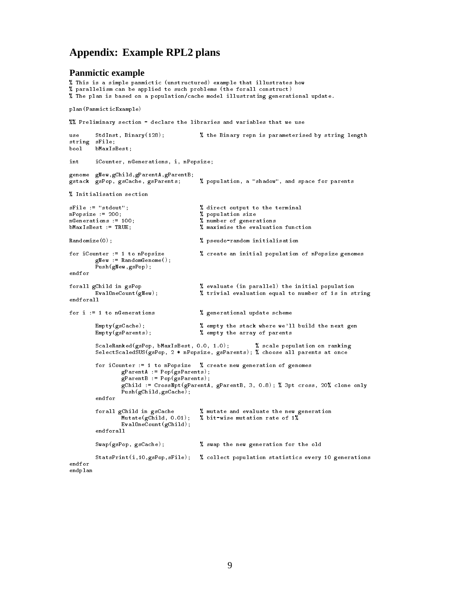# **Appendix: Example RPL2 plans**

#### **Panmictic example**

```
, is a simple panmictic (and it is in the parample that idealized how the \eta% The plan is based on a population/cache model illustrating generational update.
 parallelism can be applied to such problems -
the forall construct
plan-
PanmicticExample
'', Preliminary section - declare the libraries and variables that we use
use.
                                                     the Binary repn is parameterised by string length
use Statistics Binary-Statistics Binary-Statistics Binary-Statistics Binary-Statistics Binary-Statistics Binary
string sFile
bool bMaxIsBest;
         iCounter, nGenerations, i, nPopsize;
int
genome gNew, gChild, gParentA, gParentB;
gstack gsPop gsCache gsParents  population a shadow and space for parents
I Initialisation section
 Initialisation section
sFile := "stdout";<br>
nPopsize := 200;<br>
\begin{array}{ccc} \gamma & \gamma & \gamma \\ \gamma & \gamma & \gamma \end{array} alrect output to the terminal
                                                   % population size
nGenerations := 100;<br>
\frac{1}{2} mumber of generations
bMaxIsBest := TRUE;<br>
\texttt{W} maximise the evaluation function
Randomize(0);  pseudorandom initialisation
for iCounter := 1 to nPopsize \% create an initial population of nPopsize genomes
           and continues and continues are a series of the continues of the continues of the continues of the continues o
           Push-
gNewgsPop
endfor
forall gChild in gsPop
                                                   % evaluate (in parallel) the initial population
          \mathsf{EvaluateCount}(\mathbf{gNew});% trivial evaluation equal to number of 1s in string
endforall
for i := 1 to nGenerations \gamma generational update scheme
          Empty(gsCache);% empty the stack where we'll build the next gen
          Empty(gsParents);% empty the array of parents
          ScaleRanked(gsPop, bMaxIsBest, 0.0, 1.0);
                          gsPop basis in ranking population on ranking population on ranking population on ranking population on ranking
           selects the control q is q , p are q and q are not all parents at once and q and q and qfor iCounter := 1 to nPopsize % create new generation of genomes
                     gParentA 
 Pop-
gsParents
                     gs-es-se-vice-se-se-se-vice-se-vice-se-vice-se-vice-se-vice-se-vice-se-vice-se-vice-se-
                     general correspondences are correlated to the cross of the correlation of the correlation of the correlation on \mathcal{C}echildgsCaches and control and control of the control of the control of the control of the control of the control of the control of the control of the control of the control of the control of the control of the control of 
          endfor
          forall gChild in gsCache \% mutate and evaluate the new generation
                    Mutate(gChild, 0.01);\% bit-wise mutation rate of 1%
                     evaluate the count-term of the count-term of the count-term of the count-term of the count-term of the count-
          endforall
          Swap(gsPop, gsCache);
                                                   % swap the new generation for the old
           StatsPrint-
igsPopsFile  collect population statistics every  generations
endfor
endplan
```